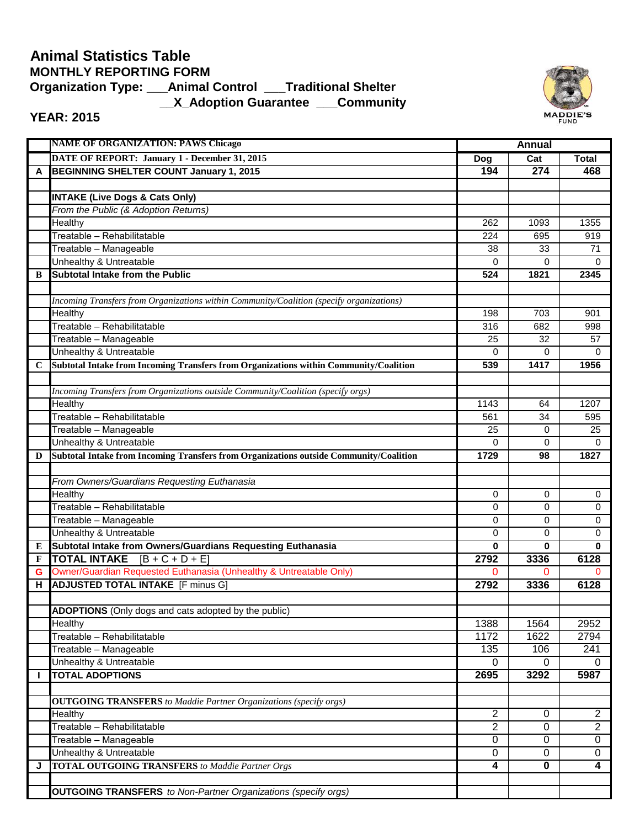## **\_\_X\_Adoption Guarantee \_\_\_Community Animal Statistics Table MONTHLY REPORTING FORM Organization Type: \_\_\_Animal Control \_\_\_Traditional Shelter**



## **YEAR: 2015**

|             | <b>NAME OF ORGANIZATION: PAWS Chicago</b>                                                |                | <b>Annual</b> |                |  |
|-------------|------------------------------------------------------------------------------------------|----------------|---------------|----------------|--|
|             | DATE OF REPORT: January 1 - December 31, 2015                                            | Dog            | Cat           | <b>Total</b>   |  |
| A           | BEGINNING SHELTER COUNT January 1, 2015                                                  | 194            | 274           | 468            |  |
|             |                                                                                          |                |               |                |  |
|             | <b>INTAKE (Live Dogs &amp; Cats Only)</b>                                                |                |               |                |  |
|             | From the Public (& Adoption Returns)                                                     |                |               |                |  |
|             | Healthy                                                                                  | 262            | 1093          | 1355           |  |
|             | Treatable - Rehabilitatable                                                              | 224            | 695           | 919            |  |
|             | Treatable - Manageable                                                                   | 38             | 33            | 71             |  |
|             | Unhealthy & Untreatable                                                                  | 0              | 0             | 0              |  |
| B           | <b>Subtotal Intake from the Public</b>                                                   | 524            | 1821          | 2345           |  |
|             |                                                                                          |                |               |                |  |
|             | Incoming Transfers from Organizations within Community/Coalition (specify organizations) |                |               |                |  |
|             | Healthy                                                                                  | 198            | 703           | 901            |  |
|             | Treatable - Rehabilitatable                                                              | 316            | 682           | 998            |  |
|             | Treatable - Manageable                                                                   | 25             | 32            | 57             |  |
|             | Unhealthy & Untreatable                                                                  | 0              | 0             | $\Omega$       |  |
| $\mathbf C$ | Subtotal Intake from Incoming Transfers from Organizations within Community/Coalition    | 539            | 1417          | 1956           |  |
|             |                                                                                          |                |               |                |  |
|             | Incoming Transfers from Organizations outside Community/Coalition (specify orgs)         |                |               |                |  |
|             | Healthy                                                                                  | 1143           | 64            | 1207           |  |
|             | Treatable - Rehabilitatable                                                              | 561            | 34            | 595            |  |
|             | Treatable - Manageable                                                                   | 25             | 0             | 25             |  |
|             | Unhealthy & Untreatable                                                                  | $\Omega$       | $\Omega$      | $\Omega$       |  |
| D           | Subtotal Intake from Incoming Transfers from Organizations outside Community/Coalition   | 1729           | 98            | 1827           |  |
|             |                                                                                          |                |               |                |  |
|             | From Owners/Guardians Requesting Euthanasia                                              |                |               |                |  |
|             | Healthy                                                                                  | 0              | 0             | 0              |  |
|             | Treatable - Rehabilitatable                                                              | 0              | 0             | 0              |  |
|             | Treatable - Manageable                                                                   | 0              | 0             | 0              |  |
|             | Unhealthy & Untreatable                                                                  | 0              | 0             | 0              |  |
| ${\bf E}$   | Subtotal Intake from Owners/Guardians Requesting Euthanasia                              | $\bf{0}$       | 0             | $\bf{0}$       |  |
| F           | <b>TOTAL INTAKE</b> $[B + C + D + E]$                                                    | 2792           | 3336          | 6128           |  |
| G           | Owner/Guardian Requested Euthanasia (Unhealthy & Untreatable Only)                       | 0              | 0             | $\Omega$       |  |
| н           | <b>ADJUSTED TOTAL INTAKE</b> [F minus G]                                                 | 2792           | 3336          | 6128           |  |
|             |                                                                                          |                |               |                |  |
|             | <b>ADOPTIONS</b> (Only dogs and cats adopted by the public)                              |                |               |                |  |
|             | Healthy                                                                                  | 1388           | 1564          | 2952           |  |
|             | Treatable - Rehabilitatable                                                              | 1172           | 1622          | 2794           |  |
|             | Treatable - Manageable                                                                   | 135            | 106           | 241            |  |
|             | Unhealthy & Untreatable<br><b>TOTAL ADOPTIONS</b>                                        | 0              | 0             | 0              |  |
| I.          |                                                                                          | 2695           | 3292          | 5987           |  |
|             |                                                                                          |                |               |                |  |
|             | <b>OUTGOING TRANSFERS</b> to Maddie Partner Organizations (specify orgs)                 | $\overline{2}$ | 0             | $\overline{2}$ |  |
|             | Healthy<br>Treatable - Rehabilitatable                                                   | $\overline{2}$ | 0             | $\overline{2}$ |  |
|             |                                                                                          |                | 0             | $\mathbf 0$    |  |
|             | Treatable - Manageable                                                                   | 0<br>0         | 0             | $\mathbf 0$    |  |
| J           | Unhealthy & Untreatable<br><b>TOTAL OUTGOING TRANSFERS</b> to Maddie Partner Orgs        | 4              | 0             | 4              |  |
|             |                                                                                          |                |               |                |  |
|             |                                                                                          |                |               |                |  |
|             | <b>OUTGOING TRANSFERS</b> to Non-Partner Organizations (specify orgs)                    |                |               |                |  |